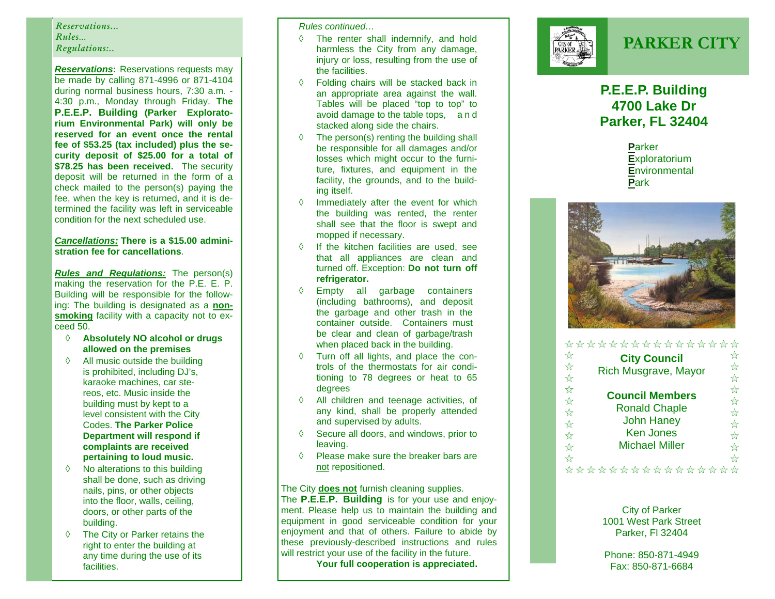### *Reservations... Rules… Regulations:..*

P.E.E.P. Building (Parker Exploratorium Environmental Park) will only be **Reservations:** Reservations requests may be made by calling 871-4996 or 871-4104 during normal business hours, 7:30 a.m. - 4:30 p.m., Monday through Friday. **The reserved for an event once the rental fee of \$53.25 (tax included) plus the security deposit of \$25.00 for a total of \$78.25 has been received.** The security deposit will be returned in the form of a check mailed to the person(s) paying the fee, when the key is returned, and it is determined the facility was left in serviceable condition for the next scheduled use.

#### *Cancellations:* **There is a \$15.00 administration fee for cancellations**.

*Rules and Regulations:* The person(s) making the reservation for the P.E. E. P. Building will be responsible for the following: The building is designated as a **nonsmoking** facility with a capacity not to exceed 50.

- **Absolutely NO alcohol or drugs allowed on the premises**
- $\Diamond$  All music outside the building is prohibited, including DJ's, karaoke machines, car stereos, etc. Music inside the building must by kept to a level consistent with the City Codes. **The Parker Police Department will respond if complaints are received pertaining to loud music.**
- $\Diamond$  No alterations to this building shall be done, such as driving nails, pins, or other objects into the floor, walls, ceiling, doors, or other parts of the building.
- The City or Parker retains the  $\Diamond$ right to enter the building at any time during the use of its facilities.

*Rules continued…* 

- ♦ The renter shall indemnify, and hold harmless the City from any damage, injury or loss, resulting from the use of the facilities.
- $\circ$  Folding chairs will be stacked back in an appropriate area against the wall. Tables will be placed "top to top" to avoid damage to the table tops, a <sup>n</sup> d stacked along side the chairs.
- $\Diamond$  The person(s) renting the building shall be responsible for all damages and/or losses which might occur to the furniture, fixtures, and equipment in the facility, the grounds, and to the building itself.
- $\Diamond$  Immediately after the event for which the building was rented, the renter shall see that the floor is swept and mopped if necessary.
- $\Diamond$  If the kitchen facilities are used, see that all appliances are clean and turned off. Exception: **Do not turn off refrigerator.**
- $\Diamond$  Empty all garbage containers (including bathrooms), and deposit the garbage and other trash in the container outside. Containers must be clear and clean of garbage/trash when placed back in the building.
- Turn off all lights, and place the controls of the thermostats for air conditioning to 78 degrees or heat to 65 degrees
- $\circ$  All children and teenage activities, of any kind, shall be properly attended and supervised by adults.
- $\Diamond$  Secure all doors, and windows, prior to leaving.
- $\mathcal{O}$  Please make sure the breaker bars are not repositioned.

#### The City **does not** furnish cleaning supplies.

The **P.E.E.P. Building** is for your use and enjoyment. Please help us to maintain the building and equipment in good serviceable condition for your enjoyment and that of others. Failure to abide by these previously-described instructions and rules will restrict your use of the facility in the future.

 **Your full cooperation is appreciated.** 



# **PARKER CITY**

## **P.E.E.P. Building 4700 Lake Dr Parker, FL 32404**

**P**arker**E**xploratorium **E**nvironmental **P**ark



|                         | ****************            |   |
|-------------------------|-----------------------------|---|
| ☆                       | <b>City Council</b>         | ☆ |
| ☆                       | <b>Rich Musgrave, Mayor</b> | ☆ |
| $\frac{1}{\lambda}$     |                             | ☆ |
| ☆                       |                             | ☆ |
| $\frac{1}{\mathcal{N}}$ | <b>Council Members</b>      | ☆ |
| $\frac{1}{M}$           | <b>Ronald Chaple</b>        | ☆ |
| $x^2$                   | <b>John Haney</b>           | ☆ |
| $\frac{1}{\sqrt{2}}$    | <b>Ken Jones</b>            | ☆ |
| $\frac{1}{\sqrt{2}}$    | <b>Michael Miller</b>       | ☆ |
| ☆                       |                             | ☆ |
|                         |                             |   |

City of Parker 1001 West Park Street Parker, Fl 32404

Phone: 850-871-4949 Fax: 850-871-6684